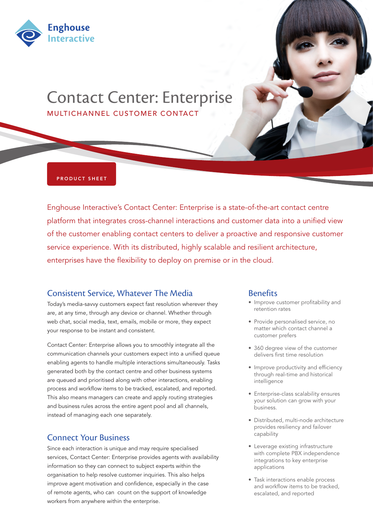

# Contact Center: Enterprise MULTICHANNEL CUSTOMER CONTACT

#### PRODUCT SHEET

Enghouse Interactive's Contact Center: Enterprise is a state-of-the-art contact centre platform that integrates cross-channel interactions and customer data into a unified view of the customer enabling contact centers to deliver a proactive and responsive customer service experience. With its distributed, highly scalable and resilient architecture, enterprises have the flexibility to deploy on premise or in the cloud.

## Consistent Service, Whatever The Media

Today's media-savvy customers expect fast resolution wherever they are, at any time, through any device or channel. Whether through web chat, social media, text, emails, mobile or more, they expect your response to be instant and consistent.

Contact Center: Enterprise allows you to smoothly integrate all the communication channels your customers expect into a unified queue enabling agents to handle multiple interactions simultaneously. Tasks generated both by the contact centre and other business systems are queued and prioritised along with other interactions, enabling process and workflow items to be tracked, escalated, and reported. This also means managers can create and apply routing strategies and business rules across the entire agent pool and all channels, instead of managing each one separately.

#### Connect Your Business

Since each interaction is unique and may require specialised services, Contact Center: Enterprise provides agents with availability information so they can connect to subject experts within the organisation to help resolve customer inquiries. This also helps improve agent motivation and confidence, especially in the case of remote agents, who can count on the support of knowledge workers from anywhere within the enterprise.

#### **Benefits**

- Improve customer profitability and retention rates
- Provide personalised service, no matter which contact channel a customer prefers
- 360 degree view of the customer delivers first time resolution
- Improve productivity and efficiency through real-time and historical intelligence
- Enterprise-class scalability ensures your solution can grow with your business.
- • Distributed, multi-node architecture provides resiliency and failover capability
- • Leverage existing infrastructure with complete PBX independence integrations to key enterprise applications
- Task interactions enable process and workflow items to be tracked, escalated, and reported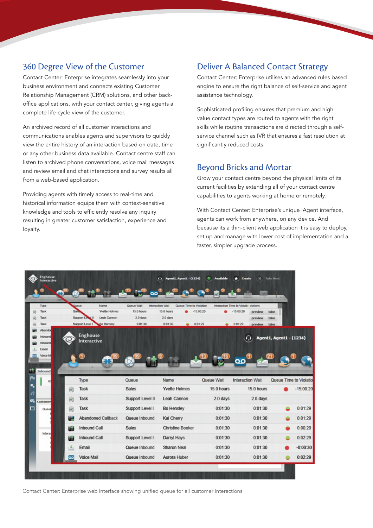## 360 Degree View of the Customer

Contact Center: Enterprise integrates seamlessly into your business environment and connects existing Customer Relationship Management (CRM) solutions, and other backoffice applications, with your contact center, giving agents a complete life-cycle view of the customer.

An archived record of all customer interactions and communications enables agents and supervisors to quickly view the entire history of an interaction based on date, time or any other business data available. Contact centre staff can listen to archived phone conversations, voice mail messages and review email and chat interactions and survey results all from a web-based application.

Providing agents with timely access to real-time and historical information equips them with context-sensitive knowledge and tools to efficiently resolve any inquiry resulting in greater customer satisfaction, experience and loyalty.

# Deliver A Balanced Contact Strategy

Contact Center: Enterprise utilises an advanced rules based engine to ensure the right balance of self-service and agent assistance technology.

Sophisticated profiling ensures that premium and high value contact types are routed to agents with the right skills while routine transactions are directed through a selfservice channel such as IVR that ensures a fast resolution at significantly reduced costs.

# Beyond Bricks and Mortar

Grow your contact centre beyond the physical limits of its current facilities by extending all of your contact centre capabilities to agents working at home or remotely.

With Contact Center: Enterprise's unique iAgent interface, agents can work from anywhere, on any device. And because its a thin-client web application it is easy to deploy, set up and manage with lower cost of implementation and a faster, simpler upgrade process.



Contact Center: Enterprise web interface showing unified queue for all customer interactions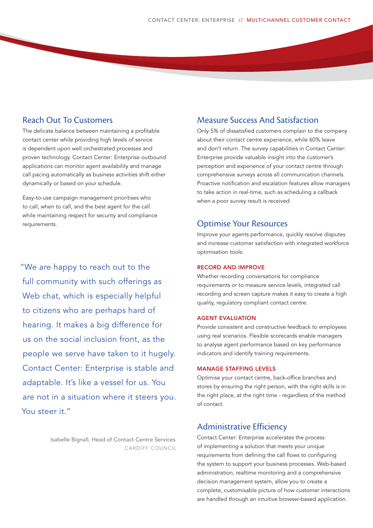## Reach Out To Customers

The delicate balance between maintaining a profitable contact center while providing high levels of service is dependent upon well orchestrated processes and proven technology. Contact Center: Enterprise outbound applications can monitor agent availability and manage call pacing automatically as business activities shift either dynamically or based on your schedule.

Easy-to-use campaign management prioritises who to call, when to call, and the best agent for the call. while maintaining respect for security and compliance requirements.

"We are happy to reach out to the full community with such offerings as Web chat, which is especially helpful to citizens who are perhaps hard of hearing. It makes a big difference for us on the social inclusion front, as the people we serve have taken to it hugely. Contact Center: Enterprise is stable and adaptable. It's like a vessel for us. You are not in a situation where it steers you. You steer it."

> Isabelle Bignall, Head of Contact Centre Services CARDIFF COUNCIL

### Measure Success And Satisfaction

Only 5% of dissatisfied customers complain to the company about their contact centre experience, while 60% leave and don't return. The survey capabilities in Contact Center: Enterprise provide valuable insight into the customer's perception and experience of your contact centre through comprehensive surveys across all communication channels. Proactive notification and escalation features allow managers to take action in real-time, such as scheduling a callback when a poor survey result is received

#### Optimise Your Resources

Improve your agents performance, quickly resolve disputes and increase customer satisfaction with integrated workforce optimisation tools:

#### RECORD AND IMPROVE

Whether recording conversations for compliance requirements or to measure service levels, integrated call recording and screen capture makes it easy to create a high quality, regulatory compliant contact centre.

#### AGENT EVALUATION

Provide consistent and constructive feedback to employees using real scenarios. Flexible scorecards enable managers to analyse agent performance based on key performance indicators and identify training requirements.

#### MANAGE STAFFING LEVELS

Optimise your contact centre, back-office branches and stores by ensuring the right person, with the right skills is in the right place, at the right time - regardless of the method of contact.

#### Administrative Efficiency

Contact Center: Enterprise accelerates the process of implementing a solution that meets your unique requirements from defining the call flows to configuring the system to support your business processes. Web-based administration, realtime monitoring and a comprehensive decision management system, allow you to create a complete, customisable picture of how customer interactions are handled through an intuitive browser-based application.